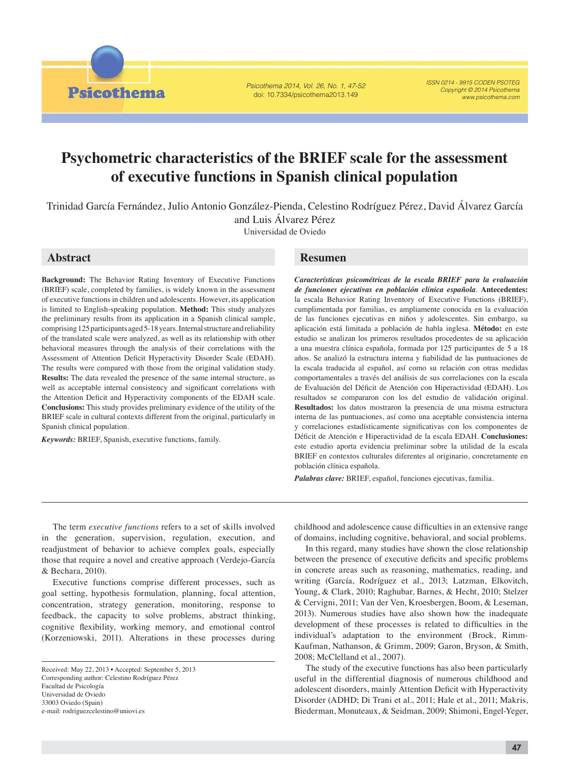Psicothema 2014, Vol. 26, No. 1, 47-52 doi: 10.7334/psicothema2013.149

ISSN 0214 - 9915 CODEN PSOTEG Copyright © 2014 Psicothema www.psicothema.com

# **Psychometric characteristics of the BRIEF scale for the assessment of executive functions in Spanish clinical population**

Trinidad García Fernández, Julio Antonio González-Pienda, Celestino Rodríguez Pérez, David Álvarez García and Luis Álvarez Pérez Universidad de Oviedo

# **Abstract**

**Psicothema** 

**Background:** The Behavior Rating Inventory of Executive Functions (BRIEF) scale, completed by families, is widely known in the assessment of executive functions in children and adolescents. However, its application is limited to English-speaking population. **Method:** This study analyzes the preliminary results from its application in a Spanish clinical sample, comprising 125 participants aged 5-18 years. Internal structure and reliability of the translated scale were analyzed, as well as its relationship with other behavioral measures through the analysis of their correlations with the Assessment of Attention Deficit Hyperactivity Disorder Scale (EDAH). The results were compared with those from the original validation study. **Results:** The data revealed the presence of the same internal structure, as well as acceptable internal consistency and significant correlations with the Attention Deficit and Hyperactivity components of the EDAH scale. **Conclusions:** This study provides preliminary evidence of the utility of the BRIEF scale in cultural contexts different from the original, particularly in Spanish clinical population.

*Keywords:* BRIEF, Spanish, executive functions, family.

# **Resumen**

*Características psicométricas de la escala BRIEF para la evaluación de funciones ejecutivas en población clínica española*. **Antecedentes:** la escala Behavior Rating Inventory of Executive Functions (BRIEF), cumplimentada por familias, es ampliamente conocida en la evaluación de las funciones ejecutivas en niños y adolescentes. Sin embargo, su aplicación está limitada a población de habla inglesa. **Método:** en este estudio se analizan los primeros resultados procedentes de su aplicación a una muestra clínica española, formada por 125 participantes de 5 a 18 años. Se analizó la estructura interna y fiabilidad de las puntuaciones de la escala traducida al español, así como su relación con otras medidas comportamentales a través del análisis de sus correlaciones con la escala de Evaluación del Déficit de Atención con Hiperactividad (EDAH). Los resultados se compararon con los del estudio de validación original. **Resultados:** los datos mostraron la presencia de una misma estructura interna de las puntuaciones, así como una aceptable consistencia interna y correlaciones estadísticamente significativas con los componentes de Déficit de Atención e Hiperactividad de la escala EDAH. Conclusiones: este estudio aporta evidencia preliminar sobre la utilidad de la escala BRIEF en contextos culturales diferentes al originario, concretamente en población clínica española.

*Palabras clave:* BRIEF, español, funciones ejecutivas, familia.

The term *executive functions* refers to a set of skills involved in the generation, supervision, regulation, execution, and readjustment of behavior to achieve complex goals, especially those that require a novel and creative approach (Verdejo-García & Bechara, 2010).

Executive functions comprise different processes, such as goal setting, hypothesis formulation, planning, focal attention, concentration, strategy generation, monitoring, response to feedback, the capacity to solve problems, abstract thinking, cognitive flexibility, working memory, and emotional control (Korzeniowski, 2011). Alterations in these processes during

childhood and adolescence cause difficulties in an extensive range of domains, including cognitive, behavioral, and social problems.

In this regard, many studies have shown the close relationship between the presence of executive deficits and specific problems in concrete areas such as reasoning, mathematics, reading, and writing (García, Rodríguez et al., 2013; Latzman, Elkovitch, Young, & Clark, 2010; Raghubar, Barnes, & Hecht, 2010; Stelzer & Cervigni, 2011; Van der Ven, Kroesbergen, Boom, & Leseman, 2013). Numerous studies have also shown how the inadequate development of these processes is related to difficulties in the individual's adaptation to the environment (Brock, Rimm-Kaufman, Nathanson, & Grimm, 2009; Garon, Bryson, & Smith, 2008; McClelland et al., 2007).

The study of the executive functions has also been particularly useful in the differential diagnosis of numerous childhood and adolescent disorders, mainly Attention Deficit with Hyperactivity Disorder (ADHD; Di Trani et al., 2011; Hale et al., 2011; Makris, Biederman, Monuteaux, & Seidman, 2009; Shimoni, Engel-Yeger,

Received: May 22, 2013 • Accepted: September 5, 2013 Corresponding author: Celestino Rodríguez Pérez Facultad de Psicología Universidad de Oviedo 33003 Oviedo (Spain) e-mail: rodriguezcelestino@uniovi.es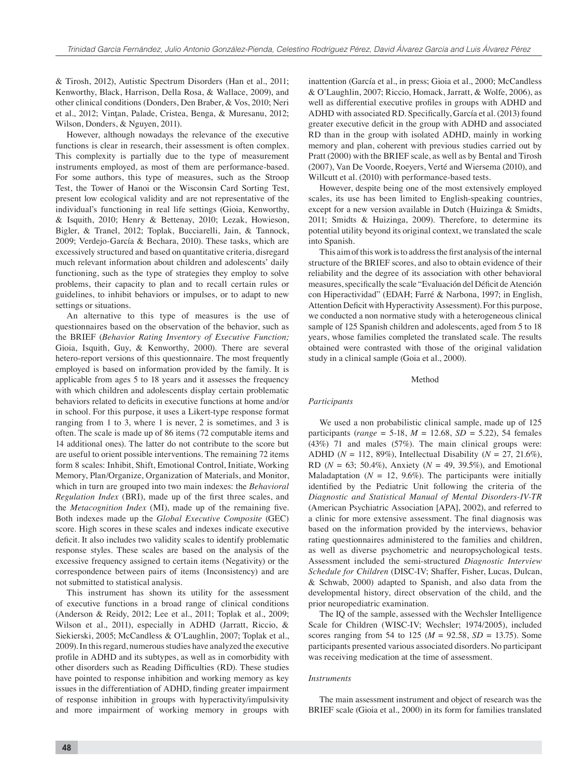& Tirosh, 2012), Autistic Spectrum Disorders (Han et al., 2011; Kenworthy, Black, Harrison, Della Rosa, & Wallace, 2009), and other clinical conditions (Donders, Den Braber, & Vos, 2010; Neri et al., 2012; Vinţan, Palade, Cristea, Benga, & Muresanu, 2012; Wilson, Donders, & Nguyen, 2011).

However, although nowadays the relevance of the executive functions is clear in research, their assessment is often complex. This complexity is partially due to the type of measurement instruments employed, as most of them are performance-based. For some authors, this type of measures, such as the Stroop Test, the Tower of Hanoi or the Wisconsin Card Sorting Test, present low ecological validity and are not representative of the individual's functioning in real life settings (Gioia, Kenworthy, & Isquith, 2010; Henry & Bettenay, 2010; Lezak, Howieson, Bigler, & Tranel, 2012; Toplak, Bucciarelli, Jain, & Tannock, 2009; Verdejo-García & Bechara, 2010). These tasks, which are excessively structured and based on quantitative criteria, disregard much relevant information about children and adolescents' daily functioning, such as the type of strategies they employ to solve problems, their capacity to plan and to recall certain rules or guidelines, to inhibit behaviors or impulses, or to adapt to new settings or situations.

An alternative to this type of measures is the use of questionnaires based on the observation of the behavior, such as the BRIEF (*Behavior Rating Inventory of Executive Function;*  Gioia, Isquith, Guy, & Kenworthy, 2000). There are several hetero-report versions of this questionnaire. The most frequently employed is based on information provided by the family. It is applicable from ages 5 to 18 years and it assesses the frequency with which children and adolescents display certain problematic behaviors related to deficits in executive functions at home and/or in school. For this purpose, it uses a Likert-type response format ranging from 1 to 3, where 1 is never, 2 is sometimes, and 3 is often. The scale is made up of 86 items (72 computable items and 14 additional ones). The latter do not contribute to the score but are useful to orient possible interventions. The remaining 72 items form 8 scales: Inhibit, Shift, Emotional Control, Initiate, Working Memory, Plan/Organize, Organization of Materials, and Monitor, which in turn are grouped into two main indexes: the *Behavioral Regulation Index* (BRI), made up of the first three scales, and the *Metacognition Index* (MI), made up of the remaining five. Both indexes made up the *Global Executive Composite* (GEC) score. High scores in these scales and indexes indicate executive deficit. It also includes two validity scales to identify problematic response styles. These scales are based on the analysis of the excessive frequency assigned to certain items (Negativity) or the correspondence between pairs of items (Inconsistency) and are not submitted to statistical analysis.

This instrument has shown its utility for the assessment of executive functions in a broad range of clinical conditions (Anderson & Reidy, 2012; Lee et al., 2011; Toplak et al., 2009; Wilson et al., 2011), especially in ADHD (Jarratt, Riccio, & Siekierski, 2005; McCandless & O'Laughlin, 2007; Toplak et al., 2009). In this regard, numerous studies have analyzed the executive profile in ADHD and its subtypes, as well as in comorbidity with other disorders such as Reading Difficulties (RD). These studies have pointed to response inhibition and working memory as key issues in the differentiation of ADHD, finding greater impairment of response inhibition in groups with hyperactivity/impulsivity and more impairment of working memory in groups with inattention (García et al., in press; Gioia et al., 2000; McCandless & O'Laughlin, 2007; Riccio, Homack, Jarratt, & Wolfe, 2006), as well as differential executive profiles in groups with ADHD and ADHD with associated RD. Specifically, García et al. (2013) found greater executive deficit in the group with ADHD and associated RD than in the group with isolated ADHD, mainly in working memory and plan, coherent with previous studies carried out by Pratt (2000) with the BRIEF scale, as well as by Bental and Tirosh (2007), Van De Voorde, Roeyers, Verté and Wiersema (2010), and Willcutt et al. (2010) with performance-based tests.

However, despite being one of the most extensively employed scales, its use has been limited to English-speaking countries, except for a new version available in Dutch (Huizinga & Smidts, 2011; Smidts & Huizinga, 2009). Therefore, to determine its potential utility beyond its original context, we translated the scale into Spanish.

This aim of this work is to address the first analysis of the internal structure of the BRIEF scores, and also to obtain evidence of their reliability and the degree of its association with other behavioral measures, specifically the scale "Evaluación del Déficit de Atención con Hiperactividad" (EDAH; Farré & Narbona, 1997; in English, Attention Deficit with Hyperactivity Assessment). For this purpose, we conducted a non normative study with a heterogeneous clinical sample of 125 Spanish children and adolescents, aged from 5 to 18 years, whose families completed the translated scale. The results obtained were contrasted with those of the original validation study in a clinical sample (Goia et al., 2000).

#### Method

## *Participants*

We used a non probabilistic clinical sample, made up of 125 participants (*range* = 5-18,  $M = 12.68$ ,  $SD = 5.22$ ), 54 females (43%) 71 and males (57%). The main clinical groups were: ADHD (*N* = 112, 89%), Intellectual Disability (*N* = 27, 21.6%), RD (*N* = 63; 50.4%), Anxiety (*N* = 49, 39.5%), and Emotional Maladaptation ( $N = 12, 9.6\%$ ). The participants were initially identified by the Pediatric Unit following the criteria of the *Diagnostic and Statistical Manual of Mental Disorders-IV-TR* (American Psychiatric Association [APA], 2002), and referred to a clinic for more extensive assessment. The final diagnosis was based on the information provided by the interviews, behavior rating questionnaires administered to the families and children, as well as diverse psychometric and neuropsychological tests. Assessment included the semi-structured *Diagnostic Interview Schedule for Children* (DISC-IV; Shaffer, Fisher, Lucas, Dulcan, & Schwab, 2000) adapted to Spanish, and also data from the developmental history, direct observation of the child, and the prior neuropediatric examination.

The IQ of the sample, assessed with the Wechsler Intelligence Scale for Children (WISC-IV; Wechsler; 1974/2005), included scores ranging from 54 to 125 (*M* = 92.58, *SD* = 13.75). Some participants presented various associated disorders. No participant was receiving medication at the time of assessment.

#### *Instruments*

The main assessment instrument and object of research was the BRIEF scale (Gioia et al., 2000) in its form for families translated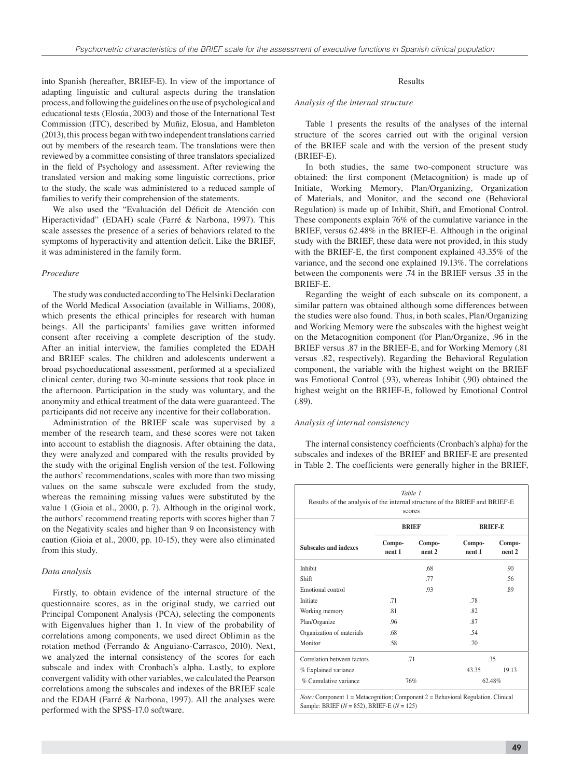into Spanish (hereafter, BRIEF-E). In view of the importance of adapting linguistic and cultural aspects during the translation process, and following the guidelines on the use of psychological and educational tests (Elosúa, 2003) and those of the International Test Commission (ITC), described by Muñiz, Elosua, and Hambleton (2013), this process began with two independent translations carried out by members of the research team. The translations were then reviewed by a committee consisting of three translators specialized in the field of Psychology and assessment. After reviewing the translated version and making some linguistic corrections, prior to the study, the scale was administered to a reduced sample of families to verify their comprehension of the statements.

We also used the "Evaluación del Déficit de Atención con Hiperactividad" (EDAH) scale (Farré & Narbona, 1997). This scale assesses the presence of a series of behaviors related to the symptoms of hyperactivity and attention deficit. Like the BRIEF, it was administered in the family form.

#### *Procedure*

The study was conducted according to The Helsinki Declaration of the World Medical Association (available in Williams, 2008), which presents the ethical principles for research with human beings. All the participants' families gave written informed consent after receiving a complete description of the study. After an initial interview, the families completed the EDAH and BRIEF scales. The children and adolescents underwent a broad psychoeducational assessment, performed at a specialized clinical center, during two 30-minute sessions that took place in the afternoon. Participation in the study was voluntary, and the anonymity and ethical treatment of the data were guaranteed. The participants did not receive any incentive for their collaboration.

Administration of the BRIEF scale was supervised by a member of the research team, and these scores were not taken into account to establish the diagnosis. After obtaining the data, they were analyzed and compared with the results provided by the study with the original English version of the test. Following the authors' recommendations, scales with more than two missing values on the same subscale were excluded from the study, whereas the remaining missing values were substituted by the value 1 (Gioia et al., 2000, p. 7). Although in the original work, the authors' recommend treating reports with scores higher than 7 on the Negativity scales and higher than 9 on Inconsistency with caution (Gioia et al., 2000, pp. 10-15), they were also eliminated from this study.

## *Data analysis*

Firstly, to obtain evidence of the internal structure of the questionnaire scores, as in the original study, we carried out Principal Component Analysis (PCA), selecting the components with Eigenvalues higher than 1. In view of the probability of correlations among components, we used direct Oblimin as the rotation method (Ferrando & Anguiano-Carrasco, 2010). Next, we analyzed the internal consistency of the scores for each subscale and index with Cronbach's alpha. Lastly, to explore convergent validity with other variables, we calculated the Pearson correlations among the subscales and indexes of the BRIEF scale and the EDAH (Farré & Narbona, 1997). All the analyses were performed with the SPSS-17.0 software.

## Results

#### *Analysis of the internal structure*

Table 1 presents the results of the analyses of the internal structure of the scores carried out with the original version of the BRIEF scale and with the version of the present study (BRIEF-E).

In both studies, the same two-component structure was obtained: the first component (Metacognition) is made up of Initiate, Working Memory, Plan/Organizing, Organization of Materials, and Monitor, and the second one (Behavioral Regulation) is made up of Inhibit, Shift, and Emotional Control. These components explain 76% of the cumulative variance in the BRIEF, versus 62.48% in the BRIEF-E. Although in the original study with the BRIEF, these data were not provided, in this study with the BRIEF-E, the first component explained 43.35% of the variance, and the second one explained 19.13%. The correlations between the components were .74 in the BRIEF versus .35 in the BRIEF-E.

Regarding the weight of each subscale on its component, a similar pattern was obtained although some differences between the studies were also found. Thus, in both scales, Plan/Organizing and Working Memory were the subscales with the highest weight on the Metacognition component (for Plan/Organize, .96 in the BRIEF versus .87 in the BRIEF-E, and for Working Memory (.81 versus .82, respectively). Regarding the Behavioral Regulation component, the variable with the highest weight on the BRIEF was Emotional Control (.93), whereas Inhibit (.90) obtained the highest weight on the BRIEF-E, followed by Emotional Control (.89).

## *Analysis of internal consistency*

The internal consistency coefficients (Cronbach's alpha) for the subscales and indexes of the BRIEF and BRIEF-E are presented in Table 2. The coefficients were generally higher in the BRIEF,

| Table 1<br>Results of the analysis of the internal structure of the BRIEF and BRIEF-E<br>scores                                                  |                  |                  |                  |                  |  |  |  |
|--------------------------------------------------------------------------------------------------------------------------------------------------|------------------|------------------|------------------|------------------|--|--|--|
|                                                                                                                                                  | <b>BRIEF</b>     |                  | <b>BRIEF-E</b>   |                  |  |  |  |
| <b>Subscales and indexes</b>                                                                                                                     | Compo-<br>nent 1 | Compo-<br>nent 2 | Compo-<br>nent 1 | Compo-<br>nent 2 |  |  |  |
| Inhibit                                                                                                                                          |                  | .68              |                  | .90              |  |  |  |
| Shift                                                                                                                                            |                  | .77              |                  | .56              |  |  |  |
| Emotional control                                                                                                                                |                  | .93              |                  | .89              |  |  |  |
| Initiate                                                                                                                                         | .71              |                  | .78              |                  |  |  |  |
| Working memory                                                                                                                                   | .81              |                  | .82              |                  |  |  |  |
| Plan/Organize                                                                                                                                    | .96              |                  | .87              |                  |  |  |  |
| Organization of materials                                                                                                                        | .68              |                  | .54              |                  |  |  |  |
| Monitor                                                                                                                                          | .58              |                  | .70              |                  |  |  |  |
| Correlation between factors                                                                                                                      | .71              |                  | .35              |                  |  |  |  |
| % Explained variance                                                                                                                             |                  |                  | 43.35            | 19.13            |  |  |  |
| % Cumulative variance                                                                                                                            | 76%              |                  | 62.48%           |                  |  |  |  |
| <i>Note:</i> Component $1 = Metacognition$ ; Component $2 = Behavioral Regulation$ . Clinical<br>Sample: BRIEF $(N = 852)$ . BRIEF-E $(N = 125)$ |                  |                  |                  |                  |  |  |  |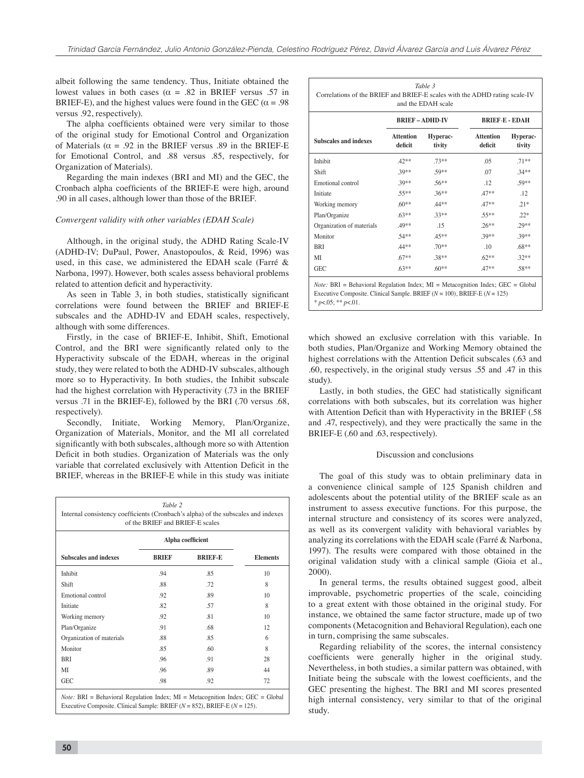albeit following the same tendency. Thus, Initiate obtained the lowest values in both cases ( $\alpha$  = .82 in BRIEF versus .57 in BRIEF-E), and the highest values were found in the GEC ( $\alpha = .98$ ) versus .92, respectively).

The alpha coefficients obtained were very similar to those of the original study for Emotional Control and Organization of Materials ( $\alpha = .92$  in the BRIEF versus .89 in the BRIEF-E for Emotional Control, and .88 versus .85, respectively, for Organization of Materials).

Regarding the main indexes (BRI and MI) and the GEC, the Cronbach alpha coefficients of the BRIEF-E were high, around .90 in all cases, although lower than those of the BRIEF.

# *Convergent validity with other variables (EDAH Scale)*

Although, in the original study, the ADHD Rating Scale-IV (ADHD-IV; DuPaul, Power, Anastopoulos, & Reid, 1996) was used, in this case, we administered the EDAH scale (Farré & Narbona, 1997). However, both scales assess behavioral problems related to attention deficit and hyperactivity.

As seen in Table 3, in both studies, statistically significant correlations were found between the BRIEF and BRIEF-E subscales and the ADHD-IV and EDAH scales, respectively, although with some differences.

Firstly, in the case of BRIEF-E, Inhibit, Shift, Emotional Control, and the BRI were significantly related only to the Hyperactivity subscale of the EDAH, whereas in the original study, they were related to both the ADHD-IV subscales, although more so to Hyperactivity. In both studies, the Inhibit subscale had the highest correlation with Hyperactivity (.73 in the BRIEF versus .71 in the BRIEF-E), followed by the BRI (.70 versus .68, respectively).

Secondly, Initiate, Working Memory, Plan/Organize, Organization of Materials, Monitor, and the MI all correlated significantly with both subscales, although more so with Attention Deficit in both studies. Organization of Materials was the only variable that correlated exclusively with Attention Deficit in the BRIEF, whereas in the BRIEF-E while in this study was initiate

| Table 2<br>Internal consistency coefficients (Cronbach's alpha) of the subscales and indexes<br>of the BRIEF and BRIEF-E scales |                   |                |                 |  |  |  |
|---------------------------------------------------------------------------------------------------------------------------------|-------------------|----------------|-----------------|--|--|--|
|                                                                                                                                 | Alpha coefficient |                |                 |  |  |  |
| <b>Subscales and indexes</b>                                                                                                    | <b>BRIEF</b>      | <b>BRIEF-E</b> | <b>Elements</b> |  |  |  |
| Inhibit                                                                                                                         | .94               | .85            | 10              |  |  |  |
| Shift                                                                                                                           | .88               | .72            | 8               |  |  |  |
| Emotional control                                                                                                               | .92               | .89            | 10              |  |  |  |
| Initiate                                                                                                                        | .82               | .57            | 8               |  |  |  |
| Working memory                                                                                                                  | .92               | .81            | 10              |  |  |  |
| Plan/Organize                                                                                                                   | .91               | .68            | 12              |  |  |  |
| Organization of materials                                                                                                       | .88               | .85            | 6               |  |  |  |
| Monitor                                                                                                                         | .85               | .60            | 8               |  |  |  |
| <b>BRI</b>                                                                                                                      | .96               | .91            | 28              |  |  |  |
| MI                                                                                                                              | .96               | .89            | 44              |  |  |  |
| <b>GEC</b>                                                                                                                      | .98               | .92            | 72              |  |  |  |

| <b>Subscales and indexes</b> | <b>BRIEF-ADHD-IV</b>        |                    | <b>BRIEF-E - EDAH</b>       |                    |
|------------------------------|-----------------------------|--------------------|-----------------------------|--------------------|
|                              | <b>Attention</b><br>deficit | Hyperac-<br>tivity | <b>Attention</b><br>deficit | Hyperac-<br>tivity |
| Inhibit                      | $42**$                      | $.73**$            | 05                          | $.71**$            |
| Shift                        | $30**$                      | $59**$             | .07                         | $.34**$            |
| Emotional control            | $.39**$                     | $.56**$            | 12                          | $.59**$            |
| Initiate                     | $.55**$                     | $.36**$            | $.47**$                     | .12                |
| Working memory               | $.60**$                     | $.44**$            | $.47**$                     | $21*$              |
| Plan/Organize                | $.63**$                     | $.33**$            | .55**                       | $.22*$             |
| Organization of materials    | .49**                       | 15                 | $.26***$                    | $.29**$            |
| Monitor                      | $.54**$                     | $.45***$           | .39**                       | .39**              |
| <b>BRI</b>                   | $.44**$                     | $.70**$            | .10 <sup>°</sup>            | $.68**$            |
| МI                           | $.67**$                     | $.38**$            | $.62**$                     | $.32**$            |
| GEC                          | $.63***$                    | $.60**$            | $47**$                      | .58**              |

*Note:* BRI = Behavioral Regulation Index; MI = Metacognition Index; GEC = Global Executive Composite. Clinical Sample. BRIEF (*N* = 100), BRIEF-E (*N* = 125) \* *p*<.05; \*\* *p*<.01.

which showed an exclusive correlation with this variable. In both studies, Plan/Organize and Working Memory obtained the highest correlations with the Attention Deficit subscales (.63 and .60, respectively, in the original study versus .55 and .47 in this study).

Lastly, in both studies, the GEC had statistically significant correlations with both subscales, but its correlation was higher with Attention Deficit than with Hyperactivity in the BRIEF (.58) and .47, respectively), and they were practically the same in the BRIEF-E (.60 and .63, respectively).

## Discussion and conclusions

The goal of this study was to obtain preliminary data in a convenience clinical sample of 125 Spanish children and adolescents about the potential utility of the BRIEF scale as an instrument to assess executive functions. For this purpose, the internal structure and consistency of its scores were analyzed, as well as its convergent validity with behavioral variables by analyzing its correlations with the EDAH scale (Farré & Narbona, 1997). The results were compared with those obtained in the original validation study with a clinical sample (Gioia et al., 2000).

In general terms, the results obtained suggest good, albeit improvable, psychometric properties of the scale, coinciding to a great extent with those obtained in the original study. For instance, we obtained the same factor structure, made up of two components (Metacognition and Behavioral Regulation), each one in turn, comprising the same subscales.

Regarding reliability of the scores, the internal consistency coefficients were generally higher in the original study. Nevertheless, in both studies, a similar pattern was obtained, with Initiate being the subscale with the lowest coefficients, and the GEC presenting the highest. The BRI and MI scores presented high internal consistency, very similar to that of the original study.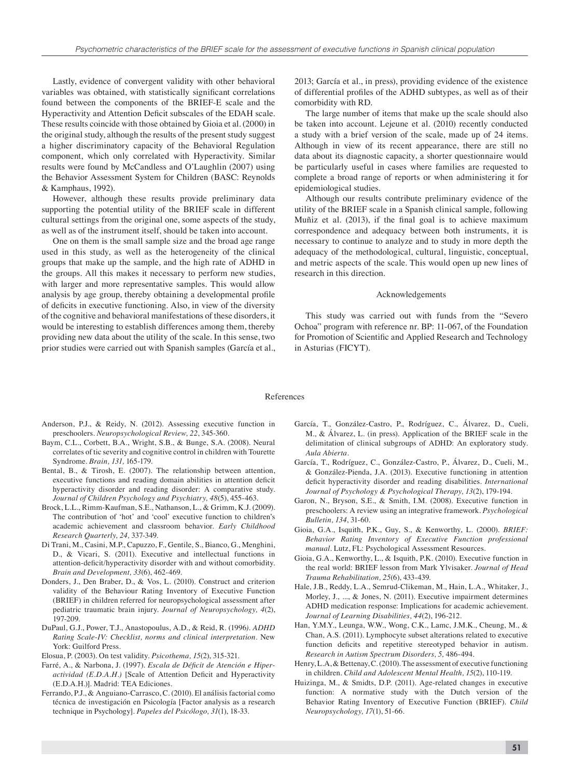Lastly, evidence of convergent validity with other behavioral variables was obtained, with statistically significant correlations found between the components of the BRIEF-E scale and the Hyperactivity and Attention Deficit subscales of the EDAH scale. These results coincide with those obtained by Gioia et al. (2000) in the original study, although the results of the present study suggest a higher discriminatory capacity of the Behavioral Regulation component, which only correlated with Hyperactivity. Similar results were found by McCandless and O'Laughlin (2007) using the Behavior Assessment System for Children (BASC: Reynolds & Kamphaus, 1992).

However, although these results provide preliminary data supporting the potential utility of the BRIEF scale in different cultural settings from the original one, some aspects of the study, as well as of the instrument itself, should be taken into account.

One on them is the small sample size and the broad age range used in this study, as well as the heterogeneity of the clinical groups that make up the sample, and the high rate of ADHD in the groups. All this makes it necessary to perform new studies, with larger and more representative samples. This would allow analysis by age group, thereby obtaining a developmental profile of deficits in executive functioning. Also, in view of the diversity of the cognitive and behavioral manifestations of these disorders, it would be interesting to establish differences among them, thereby providing new data about the utility of the scale. In this sense, two prior studies were carried out with Spanish samples (García et al., 2013; García et al., in press), providing evidence of the existence of differential profiles of the ADHD subtypes, as well as of their comorbidity with RD.

The large number of items that make up the scale should also be taken into account. Lejeune et al. (2010) recently conducted a study with a brief version of the scale, made up of 24 items. Although in view of its recent appearance, there are still no data about its diagnostic capacity, a shorter questionnaire would be particularly useful in cases where families are requested to complete a broad range of reports or when administering it for epidemiological studies.

Although our results contribute preliminary evidence of the utility of the BRIEF scale in a Spanish clinical sample, following Muñiz et al.  $(2013)$ , if the final goal is to achieve maximum correspondence and adequacy between both instruments, it is necessary to continue to analyze and to study in more depth the adequacy of the methodological, cultural, linguistic, conceptual, and metric aspects of the scale. This would open up new lines of research in this direction.

#### Acknowledgements

This study was carried out with funds from the "Severo Ochoa" program with reference nr. BP: 11-067, of the Foundation for Promotion of Scientific and Applied Research and Technology in Asturias (FICYT).

#### References

- Anderson, P.J., & Reidy, N. (2012). Assessing executive function in preschoolers. *Neuropsychological Review, 22*, 345-360.
- Baym, C.L., Corbett, B.A., Wright, S.B., & Bunge, S.A. (2008). Neural correlates of tic severity and cognitive control in children with Tourette Syndrome. *Brain, 131,* 165-179.
- Bental, B., & Tirosh, E. (2007). The relationship between attention, executive functions and reading domain abilities in attention deficit hyperactivity disorder and reading disorder: A comparative study. *Journal of Children Psychology and Psychiatry, 48*(5), 455-463.
- Brock, L.L., Rimm-Kaufman, S.E., Nathanson, L., & Grimm, K.J. (2009). The contribution of 'hot' and 'cool' executive function to children's academic achievement and classroom behavior. *Early Childhood Research Quarterly, 24,* 337-349.
- Di Trani, M., Casini, M.P., Capuzzo, F., Gentile, S., Bianco, G., Menghini, D., & Vicari, S. (2011). Executive and intellectual functions in attention-deficit/hyperactivity disorder with and without comorbidity. *Brain and Development, 33*(6), 462-469.
- Donders, J., Den Braber, D., & Vos, L. (2010). Construct and criterion validity of the Behaviour Rating Inventory of Executive Function (BRIEF) in children referred for neuropsychological assessment after pediatric traumatic brain injury. *Journal of Neuropsychology, 4*(2), 197-209.
- DuPaul, G.J., Power, T.J., Anastopoulus, A.D., & Reid, R. (1996*). ADHD Rating Scale-IV: Checklist, norms and clinical interpretation.* New York: Guilford Press.
- Elosua, P. (2003). On test validity. *Psicothema, 15*(2), 315-321.
- Farré, A., & Narbona, J. (1997). *Escala de Déficit de Atención e Hiperactividad (E.D.A.H.)* [Scale of Attention Deficit and Hyperactivity (E.D.A.H.)]*.* Madrid: TEA Ediciones.
- Ferrando, P.J., & Anguiano-Carrasco, C. (2010). El análisis factorial como técnica de investigación en Psicología [Factor analysis as a research technique in Psychology]. *Papeles del Psicólogo, 31*(1), 18-33.
- García, T., González-Castro, P., Rodríguez, C., Álvarez, D., Cueli, M., & Álvarez, L. (in press). Application of the BRIEF scale in the delimitation of clinical subgroups of ADHD: An exploratory study. *Aula Abierta.*
- García, T., Rodríguez, C., González-Castro, P., Álvarez, D., Cueli, M., & González-Pienda, J.A. (2013). Executive functioning in attention deficit hyperactivity disorder and reading disabilities. *International Journal of Psychology & Psychological Therapy, 13*(2), 179-194.
- Garon, N., Bryson, S.E., & Smith, I.M. (2008). Executive function in preschoolers: A review using an integrative framework. *Psychological Bulletin, 134*, 31-60.
- Gioia, G.A., Isquith, P.K., Guy, S., & Kenworthy, L. (2000). *BRIEF: Behavior Rating Inventory of Executive Function professional manual*. Lutz, FL: Psychological Assessment Resources.
- Gioia, G.A., Kenworthy, L., & Isquith, P.K. (2010). Executive function in the real world: BRIEF lesson from Mark Ylvisaker. *Journal of Head Trauma Rehabilitation, 25*(6), 433-439.
- Hale, J.B., Reddy, L.A., Semrud-Clikeman, M., Hain, L.A., Whitaker, J., Morley, J., ..., & Jones, N. (2011). Executive impairment determines ADHD medication response: Implications for academic achievement. *Journal of Learning Disabilities, 44*(2), 196-212.
- Han, Y.M.Y., Leunga, W.W., Wong, C.K., Lamc, J.M.K., Cheung, M., & Chan, A.S. (2011). Lymphocyte subset alterations related to executive function deficits and repetitive stereotyped behavior in autism. *Research in Autism Spectrum Disorders, 5,* 486-494.
- Henry, L.A, & Bettenay, C. (2010). The assessment of executive functioning in children. *Child and Adolescent Mental Health, 15*(2), 110-119.
- Huizinga, M., & Smidts, D.P. (2011). Age-related changes in executive function: A normative study with the Dutch version of the Behavior Rating Inventory of Executive Function (BRIEF). *Child Neuropsychology, 17*(1), 51-66.